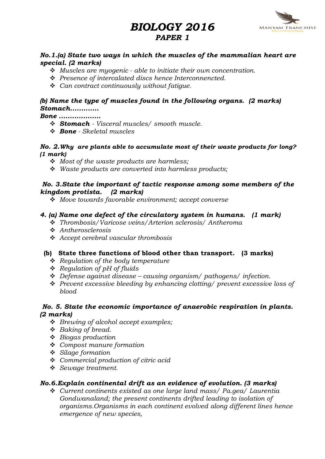# BIOLOGY 2016



# PAPER 1

#### No.1.(a) State two ways in which the muscles of the mammalian heart are special. (2 marks)

- $\cdot$  Muscles are myogenic able to initiate their own concentration.
- $\cdot \cdot$  Presence of intercalated discs hence Interconnencted.
- $\div$  Can contract continuously without fatique.

# (b) Name the type of muscles found in the following organs. (2 marks) Stomach.............

#### Bone ...................

- $\div$  Stomach Visceral muscles/ smooth muscle.
- $\div$  Bone Skeletal muscles

#### No. 2.Why are plants able to accumulate most of their waste products for long? (1 mark)

- $\triangleleft$  Most of the waste products are harmless;
- $\cdot$  Waste products are converted into harmless products;

#### No. 3.State the important of tactic response among some members of the kingdom protista. (2 marks)

 $\div$  Move towards favorable environment; accept converse

# 4. (a) Name one defect of the circulatory system in humans. (1 mark)

- v Thrombosis/Varicose veins/Arterion sclerosis/ Antheroma
- $\triangle$  Antherosclerosis
- $\triangle$  Accept cerebral vascular thrombosis

# (b) State three functions of blood other than transport. (3 marks)

- $\div$  Regulation of the body temperature
- $\triangleleft$  Requlation of pH of fluids
- $\triangle$  Defense against disease causing organism/ pathogens/ infection.
- $\div$  Prevent excessive bleeding by enhancing clotting/ prevent excessive loss of blood

#### No. 5. State the economic importance of anaerobic respiration in plants. (2 marks)

- $\div$  Brewing of alcohol accept examples;
- $\triangleleft$  Baking of bread.
- $\triangle$  Biogas production
- $\div$  Compost manure formation
- $\div$  Silage formation
- $\triangleleft$  Commercial production of citric acid
- v Sewage treatment.

# No.6.Explain continental drift as an evidence of evolution. (3 marks)

v Current continents existed as one large land mass/ Pa.gea/ Laurentia Gondwanaland; the present continents drifted leading to isolation of organisms.Organisms in each continent evolved along different lines hence emergence of new species,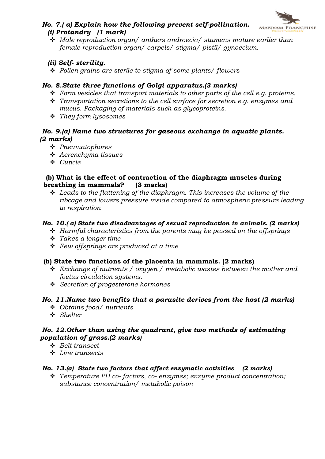

## No. 7.( a) Explain how the following prevent self-pollination. (i) Protandry (1 mark)

 $\div$  Male reproduction organ/ anthers androecia/ stamens mature earlier than female reproduction organ/ carpels/ stigma/ pistil/ gynoecium.

# (ii) Self- sterility.

 $\triangle$  Pollen grains are sterile to stigma of some plants/ flowers

# No. 8.State three functions of Golgi apparatus.(3 marks)

- $\div$  Form vesicles that transport materials to other parts of the cell e.g. proteins.
- $\hat{\mathbf{v}}$  Transportation secretions to the cell surface for secretion e.g. enzymes and mucus. Packaging of materials such as glycoproteins.
- $\div$  They form lysosomes

## No. 9.(a) Name two structures for gaseous exchange in aquatic plants. (2 marks)

- $\div$  Pneumatophores
- $\triangle$  Aerenchyma tissues
- $\div$  Cuticle

#### (b) What is the effect of contraction of the diaphragm muscles during breathing in mammals? (3 marks)

 $\triangleleft$  Leads to the flattening of the diaphragm. This increases the volume of the ribcage and lowers pressure inside compared to atmospheric pressure leading to respiration

#### No. 10.( a) State two disadvantages of sexual reproduction in animals. (2 marks)

- $\div$  Harmful characteristics from the parents may be passed on the offsprings
- $\cdot$  Takes a longer time
- $\div$  Few offsprings are produced at a time

# (b) State two functions of the placenta in mammals. (2 marks)

- $\triangleleft$  Exchange of nutrients / oxygen / metabolic wastes between the mother and foetus circulation systems.
- **❖** Secretion of progesterone hormones

# No. 11.Name two benefits that a parasite derives from the host (2 marks)

- $\triangleleft$  Obtains food/nutrients
- v Shelter

# No. 12.Other than using the quadrant, give two methods of estimating population of grass.(2 marks)

- v Belt transect
- $\div$  Line transects

# No. 13.(a) State two factors that affect enzymatic activities  $(2 \text{ marks})$

 $\div$  Temperature PH co-factors, co-enzymes; enzyme product concentration; substance concentration/ metabolic poison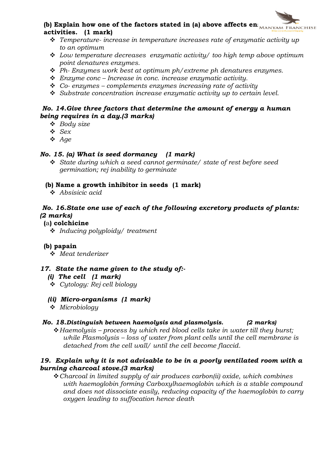

- $\hat{\mathbf{v}}$  Temperature-increase in temperature increases rate of enzymatic activity up to an optimum
- $\triangleleft$  Low temperature decreases enzymatic activity/ too high temp above optimum point denatures enzymes.
- $\cdot$  Ph- Enzymes work best at optimum ph/extreme ph denatures enzymes.
- $\triangle$  Enzyme conc Increase in conc. increase enzymatic activity.
- $\div$  Co- enzymes complements enzymes increasing rate of activity
- $\div$  Substrate concentration increase enzymatic activity up to certain level.

## No. 14.Give three factors that determine the amount of energy a human being requires in a day.(3 marks)

- $\triangleleft$  Body size
- $\div$  Sex
- $Age$

# No. 15. (a) What is seed dormancy (1 mark)

 $\div$  State during which a seed cannot germinate/ state of rest before seed germination; rej inability to germinate

#### (b) Name a growth inhibitor in seeds (1 mark)

 $\triangle$  Absisicic acid

#### No. 16.State one use of each of the following excretory products of plants: (2 marks)

#### (a) colchicine

 $\cdot$  Inducing polyploidy/ treatment

#### (b) papain

 $\div$  Meat tenderizer

#### 17. State the name given to the study of:-

#### (i) The cell (1 mark)

v Cytology: Rej cell biology

#### (ii) Micro-organisms (1 mark)

 $\div$  Microbiology

#### No. 18.Distinguish between haemolysis and plasmolysis. (2 marks)

 $\triangle$  Haemolysis – process by which red blood cells take in water till they burst; while Plasmolysis – loss of water from plant cells until the cell membrane is detached from the cell wall/ until the cell become flaccid.

#### 19. Explain why it is not advisable to be in a poorly ventilated room with a burning charcoal stove.(3 marks)

 $\triangle$  Charcoal in limited supply of air produces carbon(ii) oxide, which combines with haemoglobin forming Carboxylhaemoglobin which is a stable compound and does not dissociate easily, reducing capacity of the haemoglobin to carry oxygen leading to suffocation hence death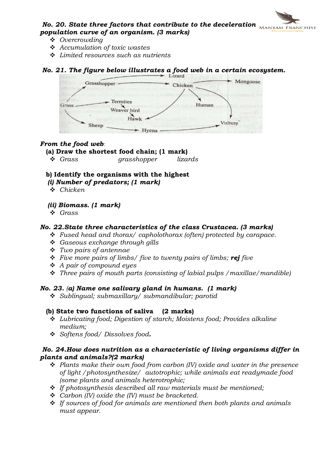# No. 20. State three factors that contribute to the deceleration  $M_{\rm ANNYAM}$  Franchise population curve of an organism. (3 marks)

- ❖ Overcrowdina
- $\triangleleft$  Accumulation of toxic wastes
- $\div$  Limited resources such as nutrients

# No. 21. The figure below illustrates a food web in a certain ecosystem.



#### From the food web*:*

- (a) Draw the shortest food chain; (1 mark)
	- Grass grasshopper lizards

# b) Identify the organisms with the highest

- (i) Number of predators; (1 mark)
- $\div$  Chicken

#### (ii) Biomass. (1 mark)

v Grass

#### No. 22.State three characteristics of the class Crustacea. (3 marks)

- $\cdot$  Fused head and thorax/ capholothorax (often) protected by carapace.
- $\div$  Gaseous exchange through gills
- $\div$  Two pairs of antennae
- $\div$  Five more pairs of limbs/ five to twenty pairs of limbs; rej five
- $\triangle$  A pair of compound eyes
- $\hat{\mathbf{v}}$  Three pairs of mouth parts (consisting of labial pulps / maxillae/mandible)

#### No. 23. (a) Name one salivary gland in humans. (1 mark)

v Sublingual; submaxillary/ submandibular; parotid

#### (b) State two functions of saliva (2 marks)

- v Lubricating food; Digestion of starch; Moistens food; Provides alkaline medium;
- v Softens food/ Dissolves food.

#### No. 24.How does nutrition as a characteristic of living organisms differ in plants and animals?(2 marks)

- $\div$  Plants make their own food from carbon (IV) oxide and water in the presence of light /photosynthesize/ autotrophic; while animals eat readymade food (some plants and animals heterotrophic;
- $\cdot$  If photosynthesis described all raw materials must be mentioned;
- $\triangleleft$  Carbon (IV) oxide the (IV) must be bracketed.
- $\cdot \cdot$  If sources of food for animals are mentioned then both plants and animals must appear.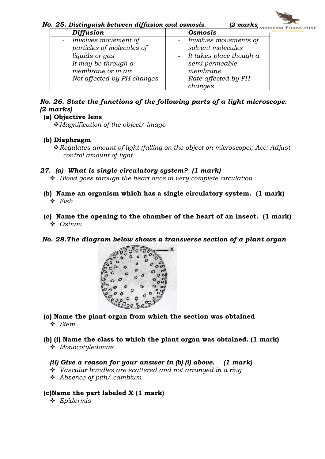No. 25. Distinguish between diffusion and osmosis. (2 marks, MANYAM FRANCHISE

| Diffusion                          | <b>Osmosis</b>            |  |
|------------------------------------|---------------------------|--|
| Involves movement of<br>$\sim$ $-$ | - Involves movements of   |  |
| particles of molecules of          | solvent molecules         |  |
| liquids or gas                     | - It takes place though a |  |
| - It may be through $a$            | semi permeable            |  |
| membrane or in air                 | membrane                  |  |
| - Not affected by PH changes       | Rate affected by PH       |  |
|                                    | changes                   |  |

# No. 26. State the functions of the following parts of a light microscope. (2 marks)

(a) Objective lens

 $\triangle$  Magnification of the object/ image

#### (b) Diaphragm

\* Regulates amount of light (falling on the object on microscope); Acc: Adjust control amount of light

#### 27. (a) What is single circulatory system? (1 mark)

 $\triangle$  Blood goes through the heart once in very complete circulation

- (b) Name an organism which has a single circulatory system. (1 mark)  $\div$  Fish
- (c) Name the opening to the chamber of the heart of an insect. (1 mark)  $\triangleleft$  Ostium
- No. 28.The diagram below shows a transverse section of a plant organ



- (a) Name the plant organ from which the section was obtained v Stem
- (b) (i) Name the class to which the plant organ was obtained. (1 mark)  $\div$  Monocotyledonae

#### (ii) Give a reason for your answer in (b) (i) above. (1 mark)

- $\div$  Vascular bundles are scattered and not arranged in a ring
- $\triangleleft$  Absence of pith/ cambium

#### (c)Name the part labeled X (1 mark)

 $\triangleleft$  Epidermis